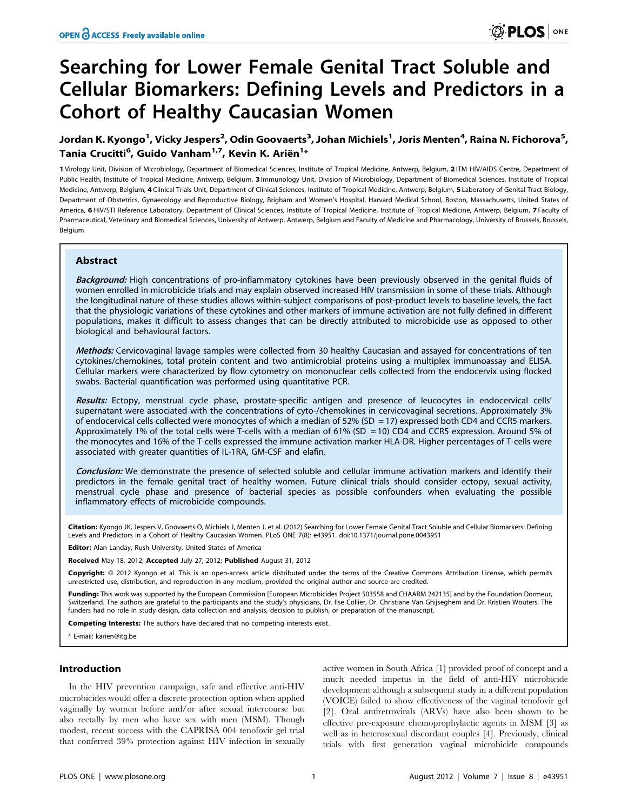# Searching for Lower Female Genital Tract Soluble and Cellular Biomarkers: Defining Levels and Predictors in a Cohort of Healthy Caucasian Women

## Jordan K. Kyongo<sup>1</sup>, Vicky Jespers<sup>2</sup>, Odin Goovaerts<sup>3</sup>, Johan Michiels<sup>1</sup>, Joris Menten<sup>4</sup>, Raina N. Fichorova<sup>5</sup>, Tania Crucitti<sup>6</sup>, Guido Vanham<sup>1,7</sup>, Kevin K. Ariën<sup>1</sup>\*

1 Virology Unit, Division of Microbiology, Department of Biomedical Sciences, Institute of Tropical Medicine, Antwerp, Belgium, 2 ITM HIV/AIDS Centre, Department of Public Health, Institute of Tropical Medicine, Antwerp, Belgium, 3 Immunology Unit, Division of Microbiology, Department of Biomedical Sciences, Institute of Tropical Medicine, Antwerp, Belgium, 4 Clinical Trials Unit, Department of Clinical Sciences, Institute of Tropical Medicine, Antwerp, Belgium, 5 Laboratory of Genital Tract Biology, Department of Obstetrics, Gynaecology and Reproductive Biology, Brigham and Women's Hospital, Harvard Medical School, Boston, Massachusetts, United States of America, 6HIV/STI Reference Laboratory, Department of Clinical Sciences, Institute of Tropical Medicine, Institute of Tropical Medicine, Antwerp, Belgium, 7 Faculty of Pharmaceutical, Veterinary and Biomedical Sciences, University of Antwerp, Antwerp, Belgium and Faculty of Medicine and Pharmacology, University of Brussels, Brussels, Belgium

## Abstract

Background: High concentrations of pro-inflammatory cytokines have been previously observed in the genital fluids of women enrolled in microbicide trials and may explain observed increased HIV transmission in some of these trials. Although the longitudinal nature of these studies allows within-subject comparisons of post-product levels to baseline levels, the fact that the physiologic variations of these cytokines and other markers of immune activation are not fully defined in different populations, makes it difficult to assess changes that can be directly attributed to microbicide use as opposed to other biological and behavioural factors.

Methods: Cervicovaginal lavage samples were collected from 30 healthy Caucasian and assayed for concentrations of ten cytokines/chemokines, total protein content and two antimicrobial proteins using a multiplex immunoassay and ELISA. Cellular markers were characterized by flow cytometry on mononuclear cells collected from the endocervix using flocked swabs. Bacterial quantification was performed using quantitative PCR.

Results: Ectopy, menstrual cycle phase, prostate-specific antigen and presence of leucocytes in endocervical cells' supernatant were associated with the concentrations of cyto-/chemokines in cervicovaginal secretions. Approximately 3% of endocervical cells collected were monocytes of which a median of 52% (SD = 17) expressed both CD4 and CCR5 markers. Approximately 1% of the total cells were T-cells with a median of 61% (SD = 10) CD4 and CCR5 expression. Around 5% of the monocytes and 16% of the T-cells expressed the immune activation marker HLA-DR. Higher percentages of T-cells were associated with greater quantities of IL-1RA, GM-CSF and elafin.

Conclusion: We demonstrate the presence of selected soluble and cellular immune activation markers and identify their predictors in the female genital tract of healthy women. Future clinical trials should consider ectopy, sexual activity, menstrual cycle phase and presence of bacterial species as possible confounders when evaluating the possible inflammatory effects of microbicide compounds.

Citation: Kyongo JK, Jespers V, Goovaerts O, Michiels J, Menten J, et al. (2012) Searching for Lower Female Genital Tract Soluble and Cellular Biomarkers: Defining Levels and Predictors in a Cohort of Healthy Caucasian Women. PLoS ONE 7(8): e43951. doi:10.1371/journal.pone.0043951

Editor: Alan Landay, Rush University, United States of America

Received May 18, 2012; Accepted July 27, 2012; Published August 31, 2012

**Copyright:** © 2012 Kyongo et al. This is an open-access article distributed under the terms of the Creative Commons Attribution License, which permits unrestricted use, distribution, and reproduction in any medium, provided the original author and source are credited.

Funding: This work was supported by the European Commission [European Microbicides Project 503558 and CHAARM 242135] and by the Foundation Dormeur, Switzerland. The authors are grateful to the participants and the study's physicians, Dr. Ilse Collier, Dr. Christiane Van Ghijseghem and Dr. Kristien Wouters. The funders had no role in study design, data collection and analysis, decision to publish, or preparation of the manuscript.

Competing Interests: The authors have declared that no competing interests exist.

\* E-mail: karien@itg.be

## Introduction

In the HIV prevention campaign, safe and effective anti-HIV microbicides would offer a discrete protection option when applied vaginally by women before and/or after sexual intercourse but also rectally by men who have sex with men (MSM). Though modest, recent success with the CAPRISA 004 tenofovir gel trial that conferred 39% protection against HIV infection in sexually

active women in South Africa [1] provided proof of concept and a much needed impetus in the field of anti-HIV microbicide development although a subsequent study in a different population (VOICE) failed to show effectiveness of the vaginal tenofovir gel [2]. Oral antiretrovirals (ARVs) have also been shown to be effective pre-exposure chemoprophylactic agents in MSM [3] as well as in heterosexual discordant couples [4]. Previously, clinical trials with first generation vaginal microbicide compounds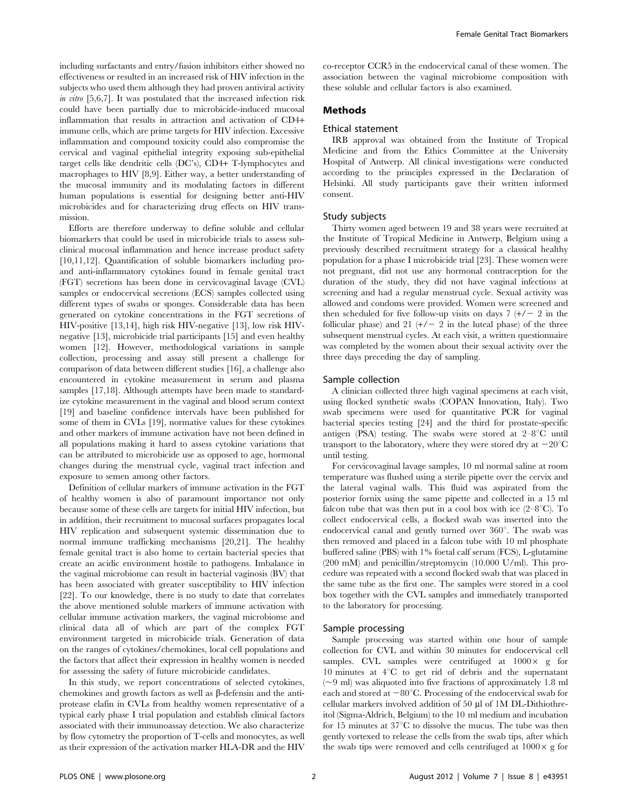including surfactants and entry/fusion inhibitors either showed no effectiveness or resulted in an increased risk of HIV infection in the subjects who used them although they had proven antiviral activity in vitro [5,6,7]. It was postulated that the increased infection risk could have been partially due to microbicide-induced mucosal inflammation that results in attraction and activation of CD4+ immune cells, which are prime targets for HIV infection. Excessive inflammation and compound toxicity could also compromise the cervical and vaginal epithelial integrity exposing sub-epithelial target cells like dendritic cells (DC's), CD4+ T-lymphocytes and macrophages to HIV [8,9]. Either way, a better understanding of the mucosal immunity and its modulating factors in different human populations is essential for designing better anti-HIV microbicides and for characterizing drug effects on HIV transmission.

Efforts are therefore underway to define soluble and cellular biomarkers that could be used in microbicide trials to assess subclinical mucosal inflammation and hence increase product safety [10,11,12]. Quantification of soluble biomarkers including proand anti-inflammatory cytokines found in female genital tract (FGT) secretions has been done in cervicovaginal lavage (CVL) samples or endocervical secretions (ECS) samples collected using different types of swabs or sponges. Considerable data has been generated on cytokine concentrations in the FGT secretions of HIV-positive [13,14], high risk HIV-negative [13], low risk HIVnegative [13], microbicide trial participants [15] and even healthy women [12]. However, methodological variations in sample collection, processing and assay still present a challenge for comparison of data between different studies [16], a challenge also encountered in cytokine measurement in serum and plasma samples [17,18]. Although attempts have been made to standardize cytokine measurement in the vaginal and blood serum context [19] and baseline confidence intervals have been published for some of them in CVLs [19], normative values for these cytokines and other markers of immune activation have not been defined in all populations making it hard to assess cytokine variations that can be attributed to microbicide use as opposed to age, hormonal changes during the menstrual cycle, vaginal tract infection and exposure to semen among other factors.

Definition of cellular markers of immune activation in the FGT of healthy women is also of paramount importance not only because some of these cells are targets for initial HIV infection, but in addition, their recruitment to mucosal surfaces propagates local HIV replication and subsequent systemic dissemination due to normal immune trafficking mechanisms [20,21]. The healthy female genital tract is also home to certain bacterial species that create an acidic environment hostile to pathogens. Imbalance in the vaginal microbiome can result in bacterial vaginosis (BV) that has been associated with greater susceptibility to HIV infection [22]. To our knowledge, there is no study to date that correlates the above mentioned soluble markers of immune activation with cellular immune activation markers, the vaginal microbiome and clinical data all of which are part of the complex FGT environment targeted in microbicide trials. Generation of data on the ranges of cytokines/chemokines, local cell populations and the factors that affect their expression in healthy women is needed for assessing the safety of future microbicide candidates.

In this study, we report concentrations of selected cytokines, chemokines and growth factors as well as  $\beta$ -defensin and the antiprotease elafin in CVLs from healthy women representative of a typical early phase I trial population and establish clinical factors associated with their immunoassay detection. We also characterize by flow cytometry the proportion of T-cells and monocytes, as well as their expression of the activation marker HLA-DR and the HIV

co-receptor CCR5 in the endocervical canal of these women. The association between the vaginal microbiome composition with these soluble and cellular factors is also examined.

## Methods

#### Ethical statement

IRB approval was obtained from the Institute of Tropical Medicine and from the Ethics Committee at the University Hospital of Antwerp. All clinical investigations were conducted according to the principles expressed in the Declaration of Helsinki. All study participants gave their written informed consent.

## Study subjects

Thirty women aged between 19 and 38 years were recruited at the Institute of Tropical Medicine in Antwerp, Belgium using a previously described recruitment strategy for a classical healthy population for a phase I microbicide trial [23]. These women were not pregnant, did not use any hormonal contraception for the duration of the study, they did not have vaginal infections at screening and had a regular menstrual cycle. Sexual activity was allowed and condoms were provided. Women were screened and then scheduled for five follow-up visits on days  $7 (+/- 2)$  in the follicular phase) and 21  $(+/- 2$  in the luteal phase) of the three subsequent menstrual cycles. At each visit, a written questionnaire was completed by the women about their sexual activity over the three days preceding the day of sampling.

## Sample collection

A clinician collected three high vaginal specimens at each visit, using flocked synthetic swabs (COPAN Innovation, Italy). Two swab specimens were used for quantitative PCR for vaginal bacterial species testing [24] and the third for prostate-specific antigen (PSA) testing. The swabs were stored at  $2-8^{\circ}$ C until transport to the laboratory, where they were stored dry at  $-20^{\circ}$ C until testing.

For cervicovaginal lavage samples, 10 ml normal saline at room temperature was flushed using a sterile pipette over the cervix and the lateral vaginal walls. This fluid was aspirated from the posterior fornix using the same pipette and collected in a 15 ml falcon tube that was then put in a cool box with ice  $(2-8^{\circ}\text{C})$ . To collect endocervical cells, a flocked swab was inserted into the endocervical canal and gently turned over 360°. The swab was then removed and placed in a falcon tube with 10 ml phosphate buffered saline (PBS) with 1% foetal calf serum (FCS), L-glutamine (200 mM) and penicillin/streptomycin (10.000 U/ml). This procedure was repeated with a second flocked swab that was placed in the same tube as the first one. The samples were stored in a cool box together with the CVL samples and immediately transported to the laboratory for processing.

#### Sample processing

Sample processing was started within one hour of sample collection for CVL and within 30 minutes for endocervical cell samples. CVL samples were centrifuged at  $1000 \times g$  for 10 minutes at  $4^{\circ}$ C to get rid of debris and the supernatant  $(\sim)9$  ml) was aliquoted into five fractions of approximately 1.8 ml each and stored at  $-80^{\circ}$ C. Processing of the endocervical swab for cellular markers involved addition of 50 µl of 1M DL-Dithiothreitol (Sigma-Aldrich, Belgium) to the 10 ml medium and incubation for 15 minutes at  $37^{\circ}$ C to dissolve the mucus. The tube was then gently vortexed to release the cells from the swab tips, after which the swab tips were removed and cells centrifuged at  $1000 \times g$  for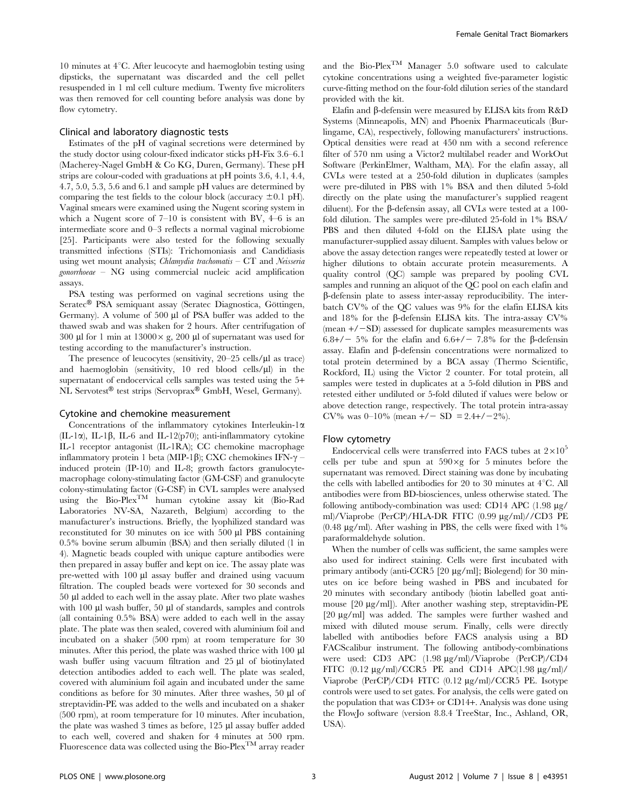10 minutes at  $4^{\circ}$ C. After leucocyte and haemoglobin testing using dipsticks, the supernatant was discarded and the cell pellet resuspended in 1 ml cell culture medium. Twenty five microliters was then removed for cell counting before analysis was done by flow cytometry.

#### Clinical and laboratory diagnostic tests

Estimates of the pH of vaginal secretions were determined by the study doctor using colour-fixed indicator sticks pH-Fix 3.6–6.1 (Macherey-Nagel GmbH & Co KG, Duren, Germany). These pH strips are colour-coded with graduations at pH points 3.6, 4.1, 4.4, 4.7, 5.0, 5.3, 5.6 and 6.1 and sample pH values are determined by comparing the test fields to the colour block (accuracy  $\pm 0.1$  pH). Vaginal smears were examined using the Nugent scoring system in which a Nugent score of 7–10 is consistent with BV, 4–6 is an intermediate score and 0–3 reflects a normal vaginal microbiome [25]. Participants were also tested for the following sexually transmitted infections (STIs): Trichomoniasis and Candidiasis using wet mount analysis; Chlamydia trachomatis - CT and Neisseria gonorrhoeae – NG using commercial nucleic acid amplification assays.

PSA testing was performed on vaginal secretions using the Seratec<sup>®</sup> PSA semiquant assay (Seratec Diagnostica, Göttingen, Germany). A volume of 500 µl of PSA buffer was added to the thawed swab and was shaken for 2 hours. After centrifugation of 300 µl for 1 min at  $13000 \times g$ , 200 µl of supernatant was used for testing according to the manufacturer's instruction.

The presence of leucocytes (sensitivity,  $20-25$  cells/ $\mu$ l as trace) and haemoglobin (sensitivity,  $10$  red blood cells/ $\mu$ l) in the supernatant of endocervical cells samples was tested using the 5+ NL Servotest® test strips (Servoprax® GmbH, Wesel, Germany).

### Cytokine and chemokine measurement

Concentrations of the inflammatory cytokines Interleukin-1 $\alpha$ (IL-1 $\alpha$ ), IL-1 $\beta$ , IL-6 and IL-12(p70); anti-inflammatory cytokine IL-1 receptor antagonist (IL-1RA); CC chemokine macrophage inflammatory protein 1 beta (MIP-1 $\beta$ ); CXC chemokines IFN- $\gamma$  – induced protein (IP-10) and IL-8; growth factors granulocytemacrophage colony-stimulating factor (GM-CSF) and granulocyte colony-stimulating factor (G-CSF) in CVL samples were analysed using the Bio-PlexTM human cytokine assay kit (Bio-Rad Laboratories NV-SA, Nazareth, Belgium) according to the manufacturer's instructions. Briefly, the lyophilized standard was reconstituted for 30 minutes on ice with 500 µl PBS containing 0.5% bovine serum albumin (BSA) and then serially diluted (1 in 4). Magnetic beads coupled with unique capture antibodies were then prepared in assay buffer and kept on ice. The assay plate was pre-wetted with 100 µl assay buffer and drained using vacuum filtration. The coupled beads were vortexed for 30 seconds and 50 ml added to each well in the assay plate. After two plate washes with 100 µl wash buffer, 50 µl of standards, samples and controls (all containing 0.5% BSA) were added to each well in the assay plate. The plate was then sealed, covered with aluminium foil and incubated on a shaker (500 rpm) at room temperature for 30 minutes. After this period, the plate was washed thrice with 100 µl wash buffer using vacuum filtration and 25 µl of biotinylated detection antibodies added to each well. The plate was sealed, covered with aluminium foil again and incubated under the same conditions as before for 30 minutes. After three washes, 50  $\mu$ l of streptavidin-PE was added to the wells and incubated on a shaker (500 rpm), at room temperature for 10 minutes. After incubation, the plate was washed 3 times as before,  $125 \mu l$  assay buffer added to each well, covered and shaken for 4 minutes at 500 rpm. Fluorescence data was collected using the Bio-Plex<sup>TM</sup> array reader

and the Bio-Plex<sup>TM</sup> Manager 5.0 software used to calculate cytokine concentrations using a weighted five-parameter logistic curve-fitting method on the four-fold dilution series of the standard provided with the kit.

Elafin and  $\beta$ -defensin were measured by ELISA kits from R&D Systems (Minneapolis, MN) and Phoenix Pharmaceuticals (Burlingame, CA), respectively, following manufacturers' instructions. Optical densities were read at 450 nm with a second reference filter of 570 nm using a Victor2 multilabel reader and WorkOut Software (PerkinElmer, Waltham, MA). For the elafin assay, all CVLs were tested at a 250-fold dilution in duplicates (samples were pre-diluted in PBS with 1% BSA and then diluted 5-fold directly on the plate using the manufacturer's supplied reagent diluent). For the  $\beta$ -defensin assay, all CVLs were tested at a 100fold dilution. The samples were pre-diluted 25-fold in 1% BSA/ PBS and then diluted 4-fold on the ELISA plate using the manufacturer-supplied assay diluent. Samples with values below or above the assay detection ranges were repeatedly tested at lower or higher dilutions to obtain accurate protein measurements. A quality control (QC) sample was prepared by pooling CVL samples and running an aliquot of the QC pool on each elafin and b-defensin plate to assess inter-assay reproducibility. The interbatch CV% of the QC values was 9% for the elafin ELISA kits and 18% for the  $\beta$ -defensin ELISA kits. The intra-assay CV% (mean  $+/-SD$ ) assessed for duplicate samples measurements was 6.8+/- 5% for the elafin and 6.6+/- 7.8% for the  $\beta$ -defensin assay. Elafin and  $\beta$ -defensin concentrations were normalized to total protein determined by a BCA assay (Thermo Scientific, Rockford, IL) using the Victor 2 counter. For total protein, all samples were tested in duplicates at a 5-fold dilution in PBS and retested either undiluted or 5-fold diluted if values were below or above detection range, respectively. The total protein intra-assay  $CV\%$  was 0–10% (mean +/- SD = 2.4+/-2%).

#### Flow cytometry

Endocervical cells were transferred into FACS tubes at  $2\times10^{5}$ cells per tube and spun at  $590 \times g$  for 5 minutes before the supernatant was removed. Direct staining was done by incubating the cells with labelled antibodies for 20 to 30 minutes at  $4^{\circ}$ C. All antibodies were from BD-biosciences, unless otherwise stated. The following antibody-combination was used: CD14 APC  $(1.98 \text{ kg})$ ml)/Viaprobe (PerCP)/HLA-DR FITC (0.99  $\mu$ g/ml)//CD3 PE  $(0.48 \mu g/ml)$ . After washing in PBS, the cells were fixed with 1% paraformaldehyde solution.

When the number of cells was sufficient, the same samples were also used for indirect staining. Cells were first incubated with primary antibody (anti-CCR5  $[20 \ \mu g/ml]$ ; Biolegend) for 30 minutes on ice before being washed in PBS and incubated for 20 minutes with secondary antibody (biotin labelled goat antimouse [20 µg/ml]). After another washing step, streptavidin-PE [20 µg/ml] was added. The samples were further washed and mixed with diluted mouse serum. Finally, cells were directly labelled with antibodies before FACS analysis using a BD FACScalibur instrument. The following antibody-combinations were used: CD3 APC (1.98 mg/ml)/Viaprobe (PerCP)/CD4 FITC  $(0.12 \text{ µg/ml})/CCR5$  PE and CD14 APC $(1.98 \text{ µg/ml})/$ Viaprobe (PerCP)/CD4 FITC (0.12 µg/ml)/CCR5 PE. Isotype controls were used to set gates. For analysis, the cells were gated on the population that was CD3+ or CD14+. Analysis was done using the FlowJo software (version 8.8.4 TreeStar, Inc., Ashland, OR, USA).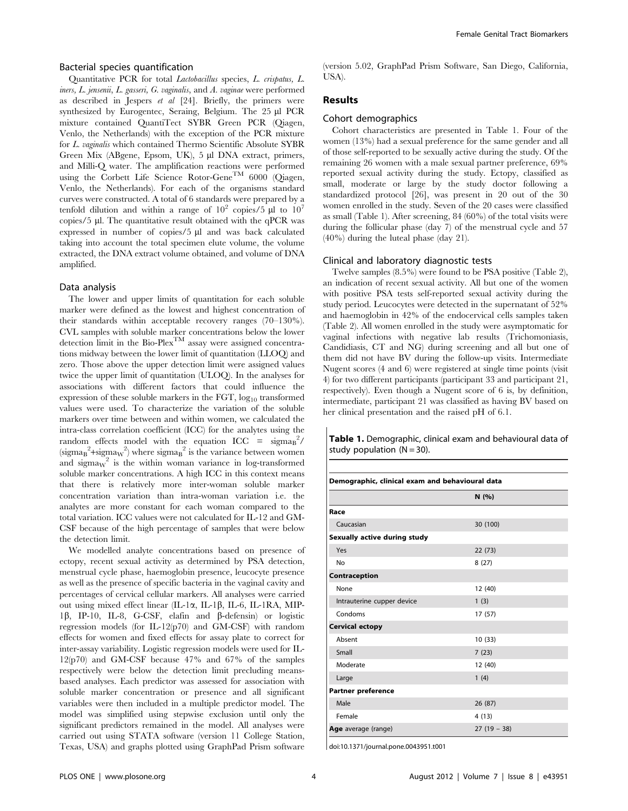#### Bacterial species quantification

Quantitative PCR for total Lactobacillus species, L. crispatus, L. iners, L. jensenii, L. gasseri, G. vaginalis, and A. vaginae were performed as described in Jespers  $et \ al$  [24]. Briefly, the primers were synthesized by Eurogentec, Seraing, Belgium. The 25 µl PCR mixture contained QuantiTect SYBR Green PCR (Qiagen, Venlo, the Netherlands) with the exception of the PCR mixture for L. vaginalis which contained Thermo Scientific Absolute SYBR Green Mix (ABgene, Epsom, UK), 5 µl DNA extract, primers, and Milli-Q water. The amplification reactions were performed using the Corbett Life Science Rotor-Gene<sup>TM</sup> 6000 (Qiagen, Venlo, the Netherlands). For each of the organisms standard curves were constructed. A total of 6 standards were prepared by a tenfold dilution and within a range of  $10^2$  copies/5 µl to  $10^7$ copies/5  $\mu$ l. The quantitative result obtained with the qPCR was expressed in number of copies/5 µl and was back calculated taking into account the total specimen elute volume, the volume extracted, the DNA extract volume obtained, and volume of DNA amplified.

#### Data analysis

The lower and upper limits of quantitation for each soluble marker were defined as the lowest and highest concentration of their standards within acceptable recovery ranges (70–130%). CVL samples with soluble marker concentrations below the lower detection limit in the  $\text{Bio-plex}^{\text{TM}}$  assay were assigned concentrations midway between the lower limit of quantitation (LLOQ) and zero. Those above the upper detection limit were assigned values twice the upper limit of quantitation (ULOQ). In the analyses for associations with different factors that could influence the expression of these soluble markers in the FGT,  $log_{10}$  transformed values were used. To characterize the variation of the soluble markers over time between and within women, we calculated the intra-class correlation coefficient (ICC) for the analytes using the random effects model with the equation ICC =  $\text{sigma}_{\text{B}}^2$ /  $\langle$ sigma<sub>B</sub><sup>2</sup>+sigma<sub>W</sub><sup>2</sup>) where sigma<sub>B</sub><sup>2</sup> is the variance between women and sigma $w^2$  is the within woman variance in log-transformed soluble marker concentrations. A high ICC in this context means that there is relatively more inter-woman soluble marker concentration variation than intra-woman variation i.e. the analytes are more constant for each woman compared to the total variation. ICC values were not calculated for IL-12 and GM-CSF because of the high percentage of samples that were below the detection limit.

We modelled analyte concentrations based on presence of ectopy, recent sexual activity as determined by PSA detection, menstrual cycle phase, haemoglobin presence, leucocyte presence as well as the presence of specific bacteria in the vaginal cavity and percentages of cervical cellular markers. All analyses were carried out using mixed effect linear  $(IL-1\alpha, IL-1\beta, IL-6, IL-1RA, MIP 1\beta$ , IP-10, IL-8, G-CSF, elafin and  $\beta$ -defensin) or logistic regression models (for IL-12(p70) and GM-CSF) with random effects for women and fixed effects for assay plate to correct for inter-assay variability. Logistic regression models were used for IL-12(p70) and GM-CSF because 47% and 67% of the samples respectively were below the detection limit precluding meansbased analyses. Each predictor was assessed for association with soluble marker concentration or presence and all significant variables were then included in a multiple predictor model. The model was simplified using stepwise exclusion until only the significant predictors remained in the model. All analyses were carried out using STATA software (version 11 College Station, Texas, USA) and graphs plotted using GraphPad Prism software

(version 5.02, GraphPad Prism Software, San Diego, California, USA).

## Results

## Cohort demographics

Cohort characteristics are presented in Table 1. Four of the women (13%) had a sexual preference for the same gender and all of those self-reported to be sexually active during the study. Of the remaining 26 women with a male sexual partner preference, 69% reported sexual activity during the study. Ectopy, classified as small, moderate or large by the study doctor following a standardized protocol [26], was present in 20 out of the 30 women enrolled in the study. Seven of the 20 cases were classified as small (Table 1). After screening, 84 (60%) of the total visits were during the follicular phase (day 7) of the menstrual cycle and 57 (40%) during the luteal phase (day 21).

#### Clinical and laboratory diagnostic tests

Twelve samples (8.5%) were found to be PSA positive (Table 2), an indication of recent sexual activity. All but one of the women with positive PSA tests self-reported sexual activity during the study period. Leucocytes were detected in the supernatant of 52% and haemoglobin in 42% of the endocervical cells samples taken (Table 2). All women enrolled in the study were asymptomatic for vaginal infections with negative lab results (Trichomoniasis, Candidiasis, CT and NG) during screening and all but one of them did not have BV during the follow-up visits. Intermediate Nugent scores (4 and 6) were registered at single time points (visit 4) for two different participants (participant 33 and participant 21, respectively). Even though a Nugent score of 6 is, by definition, intermediate, participant 21 was classified as having BV based on her clinical presentation and the raised pH of 6.1.

Table 1. Demographic, clinical exam and behavioural data of study population  $(N = 30)$ .

| Demographic, clinical exam and behavioural data |               |  |  |  |  |
|-------------------------------------------------|---------------|--|--|--|--|
|                                                 | N(96)         |  |  |  |  |
| Race                                            |               |  |  |  |  |
| Caucasian                                       | 30 (100)      |  |  |  |  |
| Sexually active during study                    |               |  |  |  |  |
| Yes                                             | 22(73)        |  |  |  |  |
| <b>No</b>                                       | 8(27)         |  |  |  |  |
| Contraception                                   |               |  |  |  |  |
| None                                            | 12 (40)       |  |  |  |  |
| Intrauterine cupper device                      | 1(3)          |  |  |  |  |
| Condoms                                         | 17(57)        |  |  |  |  |
| <b>Cervical ectopy</b>                          |               |  |  |  |  |
| Absent                                          | 10(33)        |  |  |  |  |
| Small                                           | 7(23)         |  |  |  |  |
| Moderate                                        | 12 (40)       |  |  |  |  |
| Large                                           | 1(4)          |  |  |  |  |
| <b>Partner preference</b>                       |               |  |  |  |  |
| Male                                            | 26 (87)       |  |  |  |  |
| Female                                          | 4 (13)        |  |  |  |  |
| Age average (range)                             | $27(19 - 38)$ |  |  |  |  |

doi:10.1371/journal.pone.0043951.t001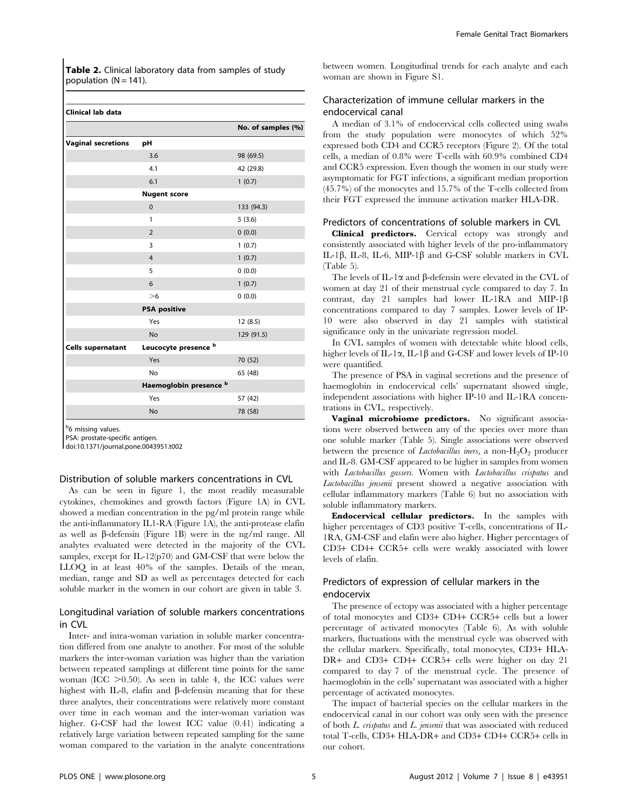Table 2. Clinical laboratory data from samples of study population  $(N = 141)$ .

#### Clinical lab data

|                           |                        | No. of samples (%) |
|---------------------------|------------------------|--------------------|
| <b>Vaginal secretions</b> | pH                     |                    |
|                           | 3.6                    | 98 (69.5)          |
|                           | 4.1                    | 42 (29.8)          |
|                           | 6.1                    | 1(0.7)             |
|                           | <b>Nugent score</b>    |                    |
|                           | $\mathbf 0$            | 133 (94.3)         |
|                           | 1                      | 5(3.6)             |
|                           | $\overline{2}$         | 0(0.0)             |
|                           | 3                      | 1(0.7)             |
|                           | $\overline{4}$         | 1(0.7)             |
|                           | 5                      | 0(0.0)             |
|                           | 6                      | 1(0.7)             |
|                           | >6                     | 0(0.0)             |
|                           | <b>PSA positive</b>    |                    |
|                           | Yes                    | 12(8.5)            |
|                           | <b>No</b>              | 129 (91.5)         |
| <b>Cells supernatant</b>  | Leucocyte presence b   |                    |
|                           | Yes                    | 70 (52)            |
|                           | No                     | 65 (48)            |
|                           | Haemoglobin presence b |                    |
|                           | Yes                    | 57 (42)            |
|                           | <b>No</b>              | 78 (58)            |

<sup>b</sup>6 missing values.

PSA: prostate-specific antigen.

doi:10.1371/journal.pone.0043951.t002

### Distribution of soluble markers concentrations in CVL

As can be seen in figure 1, the most readily measurable cytokines, chemokines and growth factors (Figure 1A) in CVL showed a median concentration in the pg/ml protein range while the anti-inflammatory IL1-RA (Figure 1A), the anti-protease elafin as well as  $\beta$ -defensin (Figure 1B) were in the ng/ml range. All analytes evaluated were detected in the majority of the CVL samples, except for IL-12(p70) and GM-CSF that were below the LLOQ in at least 40% of the samples. Details of the mean, median, range and SD as well as percentages detected for each soluble marker in the women in our cohort are given in table 3.

## Longitudinal variation of soluble markers concentrations in CVL

Inter- and intra-woman variation in soluble marker concentration differed from one analyte to another. For most of the soluble markers the inter-woman variation was higher than the variation between repeated samplings at different time points for the same woman (ICC  $>0.50$ ). As seen in table 4, the ICC values were highest with IL-8, elafin and  $\beta$ -defensin meaning that for these three analytes, their concentrations were relatively more constant over time in each woman and the inter-woman variation was higher. G-CSF had the lowest ICC value  $(0.41)$  indicating a relatively large variation between repeated sampling for the same woman compared to the variation in the analyte concentrations between women. Longitudinal trends for each analyte and each woman are shown in Figure S1.

## Characterization of immune cellular markers in the endocervical canal

A median of 3.1% of endocervical cells collected using swabs from the study population were monocytes of which 52% expressed both CD4 and CCR5 receptors (Figure 2). Of the total cells, a median of 0.8% were T-cells with 60.9% combined CD4 and CCR5 expression. Even though the women in our study were asymptomatic for FGT infections, a significant median proportion (45.7%) of the monocytes and 15.7% of the T-cells collected from their FGT expressed the immune activation marker HLA-DR.

#### Predictors of concentrations of soluble markers in CVL

Clinical predictors. Cervical ectopy was strongly and consistently associated with higher levels of the pro-inflammatory IL-1 $\beta$ , IL-8, IL-6, MIP-1 $\beta$  and G-CSF soluble markers in CVL (Table 5).

The levels of IL-1 $\alpha$  and  $\beta$ -defensin were elevated in the CVL of women at day 21 of their menstrual cycle compared to day 7. In contrast, day 21 samples had lower IL-1RA and MIP-1 $\beta$ concentrations compared to day 7 samples. Lower levels of IP-10 were also observed in day 21 samples with statistical significance only in the univariate regression model.

In CVL samples of women with detectable white blood cells, higher levels of IL-1 $\alpha$ , IL-1 $\beta$  and G-CSF and lower levels of IP-10 were quantified.

The presence of PSA in vaginal secretions and the presence of haemoglobin in endocervical cells' supernatant showed single, independent associations with higher IP-10 and IL-1RA concentrations in CVL, respectively.

Vaginal microbiome predictors. No significant associations were observed between any of the species over more than one soluble marker (Table 5). Single associations were observed between the presence of *Lactobacillus iners*, a non- $H_2O_2$  producer and IL-8. GM-CSF appeared to be higher in samples from women with *Lactobacillus gassen*. Women with *Lactobacillus crispatus* and Lactobacillus jensenii present showed a negative association with cellular inflammatory markers (Table 6) but no association with soluble inflammatory markers.

Endocervical cellular predictors. In the samples with higher percentages of CD3 positive T-cells, concentrations of IL-1RA, GM-CSF and elafin were also higher. Higher percentages of CD3+ CD4+ CCR5+ cells were weakly associated with lower levels of elafin.

## Predictors of expression of cellular markers in the endocervix

The presence of ectopy was associated with a higher percentage of total monocytes and CD3+ CD4+ CCR5+ cells but a lower percentage of activated monocytes (Table 6). As with soluble markers, fluctuations with the menstrual cycle was observed with the cellular markers. Specifically, total monocytes, CD3+ HLA-DR+ and CD3+ CD4+ CCR5+ cells were higher on day 21 compared to day 7 of the menstrual cycle. The presence of haemoglobin in the cells' supernatant was associated with a higher percentage of activated monocytes.

The impact of bacterial species on the cellular markers in the endocervical canal in our cohort was only seen with the presence of both L. crispatus and L. jensenii that was associated with reduced total T-cells, CD3+ HLA-DR+ and CD3+ CD4+ CCR5+ cells in our cohort.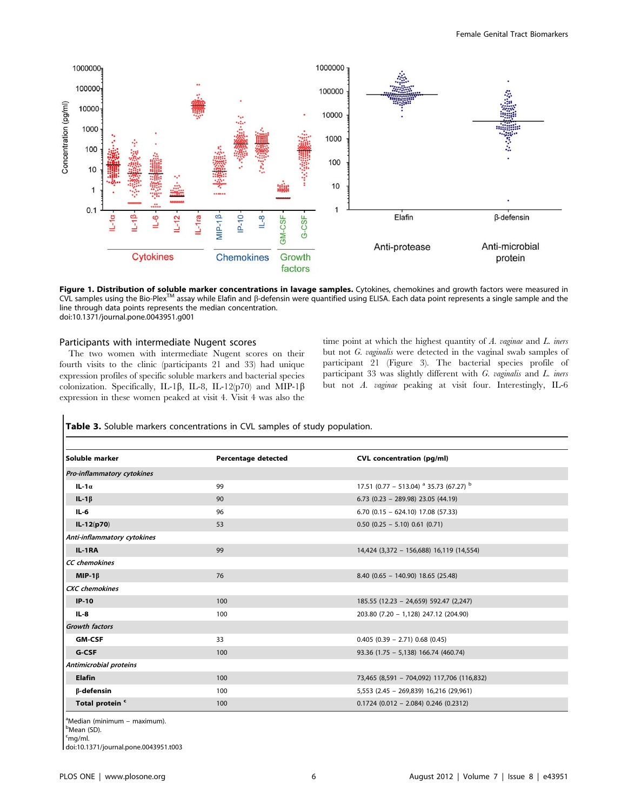

Figure 1. Distribution of soluble marker concentrations in lavage samples. Cytokines, chemokines and growth factors were measured in CVL samples using the Bio-PlexTM assay while Elafin and b-defensin were quantified using ELISA. Each data point represents a single sample and the line through data points represents the median concentration. doi:10.1371/journal.pone.0043951.g001

### Participants with intermediate Nugent scores

The two women with intermediate Nugent scores on their fourth visits to the clinic (participants 21 and 33) had unique expression profiles of specific soluble markers and bacterial species colonization. Specifically, IL-1 $\beta$ , IL-8, IL-12(p70) and MIP-1 $\beta$ expression in these women peaked at visit 4. Visit 4 was also the time point at which the highest quantity of  $A$ , vaginae and  $L$ , iners but not G. vaginalis were detected in the vaginal swab samples of participant 21 (Figure 3). The bacterial species profile of participant 33 was slightly different with G. vaginalis and L. iners but not A. vaginae peaking at visit four. Interestingly, IL-6

## Table 3. Soluble markers concentrations in CVL samples of study population.

| Soluble marker              | <b>Percentage detected</b> | <b>CVL</b> concentration (pg/ml)                              |
|-----------------------------|----------------------------|---------------------------------------------------------------|
| Pro-inflammatory cytokines  |                            |                                                               |
| $IL-1\alpha$                | 99                         | 17.51 (0.77 - 513.04) <sup>a</sup> 35.73 (67.27) <sup>b</sup> |
| $IL-1\beta$                 | 90                         | $6.73$ (0.23 - 289.98) 23.05 (44.19)                          |
| $IL-6$                      | 96                         | $6.70$ (0.15 - 624.10) 17.08 (57.33)                          |
| $IL-12(p70)$                | 53                         | $0.50$ (0.25 - 5.10) 0.61 (0.71)                              |
| Anti-inflammatory cytokines |                            |                                                               |
| IL-1RA                      | 99                         | 14,424 (3,372 - 156,688) 16,119 (14,554)                      |
| <b>CC</b> chemokines        |                            |                                                               |
| $MIP-1\beta$                | 76                         | $8.40$ (0.65 - 140.90) 18.65 (25.48)                          |
| <b>CXC</b> chemokines       |                            |                                                               |
| $IP-10$                     | 100                        | 185.55 (12.23 - 24,659) 592.47 (2,247)                        |
| IL-8                        | 100                        | 203.80 (7.20 - 1,128) 247.12 (204.90)                         |
| <b>Growth factors</b>       |                            |                                                               |
| <b>GM-CSF</b>               | 33                         | $0.405$ (0.39 - 2.71) 0.68 (0.45)                             |
| G-CSF                       | 100                        | $93.36$ (1.75 - 5,138) 166.74 (460.74)                        |
| Antimicrobial proteins      |                            |                                                               |
| <b>Elafin</b>               | 100                        | 73,465 (8,591 - 704,092) 117,706 (116,832)                    |
| β-defensin                  | 100                        | 5,553 (2.45 - 269,839) 16,216 (29,961)                        |
| Total protein <sup>c</sup>  | 100                        | $0.1724$ (0.012 - 2.084) 0.246 (0.2312)                       |

a Median (minimum – maximum).

<sup>c</sup>mg/ml.

doi:10.1371/journal.pone.0043951.t003

<sup>&</sup>lt;sup>b</sup>Mean (SD).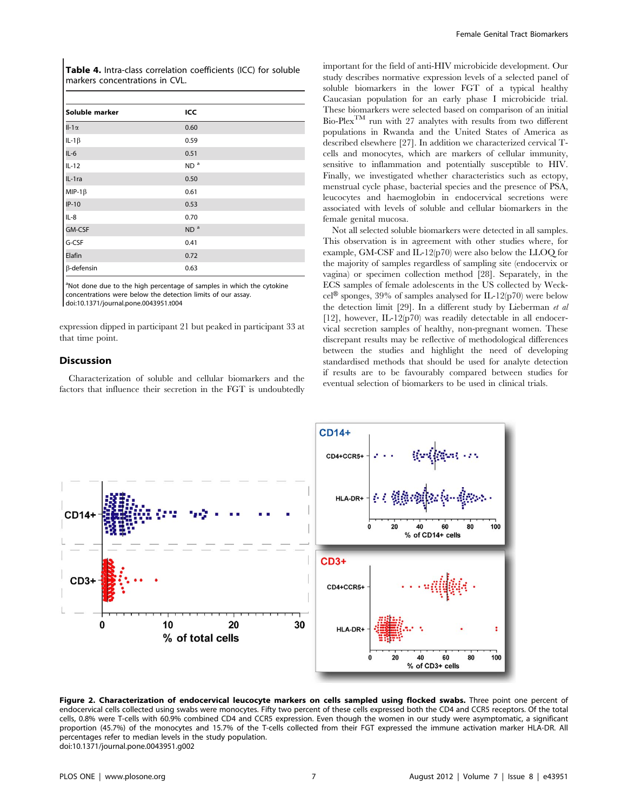Table 4. Intra-class correlation coefficients (ICC) for soluble markers concentrations in CVL.

| Soluble marker    | ICC             |
|-------------------|-----------------|
| $II-1\alpha$      | 0.60            |
| $IL-1\beta$       | 0.59            |
| $IL-6$            | 0.51            |
| $IL-12$           | ND <sup>a</sup> |
| IL-1ra            | 0.50            |
| $MIP-1\beta$      | 0.61            |
| $IP-10$           | 0.53            |
| $IL-8$            | 0.70            |
| GM-CSF            | ND <sup>a</sup> |
| G-CSF             | 0.41            |
| Elafin            | 0.72            |
| $\beta$ -defensin | 0.63            |

<sup>a</sup>Not done due to the high percentage of samples in which the cytokine concentrations were below the detection limits of our assay. doi:10.1371/journal.pone.0043951.t004

expression dipped in participant 21 but peaked in participant 33 at that time point.

#### **Discussion**

Characterization of soluble and cellular biomarkers and the factors that influence their secretion in the FGT is undoubtedly important for the field of anti-HIV microbicide development. Our study describes normative expression levels of a selected panel of soluble biomarkers in the lower FGT of a typical healthy Caucasian population for an early phase I microbicide trial. These biomarkers were selected based on comparison of an initial  $\mathrm{Bio-plex}^{\mathrm{TM}}$  run with 27 analytes with results from two different populations in Rwanda and the United States of America as described elsewhere [27]. In addition we characterized cervical Tcells and monocytes, which are markers of cellular immunity, sensitive to inflammation and potentially susceptible to HIV. Finally, we investigated whether characteristics such as ectopy, menstrual cycle phase, bacterial species and the presence of PSA, leucocytes and haemoglobin in endocervical secretions were associated with levels of soluble and cellular biomarkers in the female genital mucosa.

Not all selected soluble biomarkers were detected in all samples. This observation is in agreement with other studies where, for example, GM-CSF and IL-12(p70) were also below the LLOQ for the majority of samples regardless of sampling site (endocervix or vagina) or specimen collection method [28]. Separately, in the ECS samples of female adolescents in the US collected by Weckcel<sup>®</sup> sponges, 39% of samples analysed for IL-12(p70) were below the detection limit [29]. In a different study by Lieberman et al [12], however, IL-12(p70) was readily detectable in all endocervical secretion samples of healthy, non-pregnant women. These discrepant results may be reflective of methodological differences between the studies and highlight the need of developing standardised methods that should be used for analyte detection if results are to be favourably compared between studies for eventual selection of biomarkers to be used in clinical trials.



Figure 2. Characterization of endocervical leucocyte markers on cells sampled using flocked swabs. Three point one percent of endocervical cells collected using swabs were monocytes. Fifty two percent of these cells expressed both the CD4 and CCR5 receptors. Of the total cells, 0.8% were T-cells with 60.9% combined CD4 and CCR5 expression. Even though the women in our study were asymptomatic, a significant proportion (45.7%) of the monocytes and 15.7% of the T-cells collected from their FGT expressed the immune activation marker HLA-DR. All percentages refer to median levels in the study population. doi:10.1371/journal.pone.0043951.g002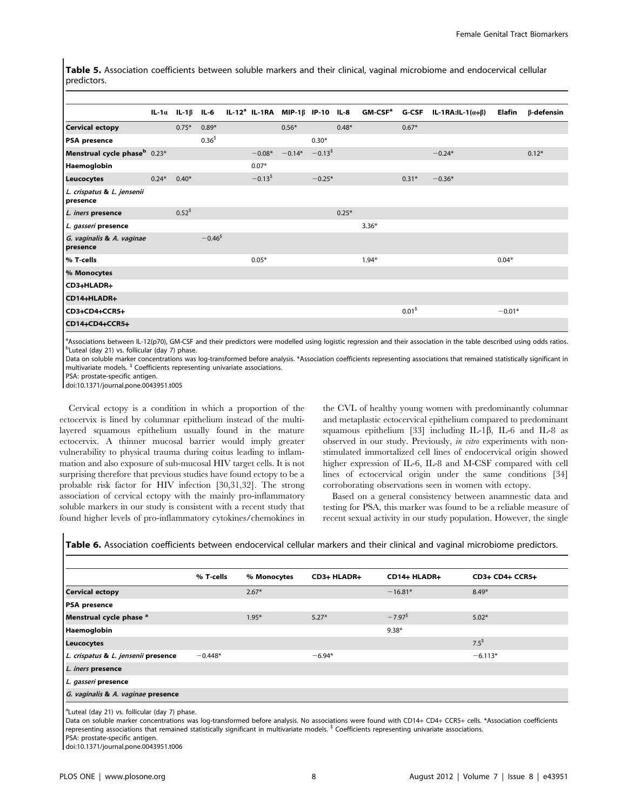Table 5. Association coefficients between soluble markers and their clinical, vaginal microbiome and endocervical cellular predictors.

|                                          |         |             |                   |                       |          |          |         |         |                   | IL-1 $\alpha$ IL-1 $\beta$ IL-6 IL-12 <sup>a</sup> IL-1RA MIP-1 $\beta$ IP-10 IL-8 GM-CSF <sup>a</sup> G-CSF IL-1RA:IL-1 $(\alpha+\beta)$ | Elafin   | β-defensin |
|------------------------------------------|---------|-------------|-------------------|-----------------------|----------|----------|---------|---------|-------------------|-------------------------------------------------------------------------------------------------------------------------------------------|----------|------------|
| <b>Cervical ectopy</b>                   |         | $0.75*$     | $0.89*$           |                       | $0.56*$  |          | $0.48*$ |         | $0.67*$           |                                                                                                                                           |          |            |
| <b>PSA</b> presence                      |         |             | 0.36 <sup>§</sup> |                       |          | $0.30*$  |         |         |                   |                                                                                                                                           |          |            |
| Menstrual cycle phase <sup>b</sup> 0.23* |         |             |                   | $-0.08*$              | $-0.14*$ | $-0.135$ |         |         |                   | $-0.24*$                                                                                                                                  |          | $0.12*$    |
| Haemoglobin                              |         |             |                   | $0.07*$               |          |          |         |         |                   |                                                                                                                                           |          |            |
| <b>Leucocytes</b>                        | $0.24*$ | $0.40*$     |                   | $-0.13$ <sup>\$</sup> |          | $-0.25*$ |         |         | $0.31*$           | $-0.36*$                                                                                                                                  |          |            |
| L. crispatus & L. jensenii<br>presence   |         |             |                   |                       |          |          |         |         |                   |                                                                                                                                           |          |            |
| L. iners presence                        |         | $0.52^{\$}$ |                   |                       |          |          | $0.25*$ |         |                   |                                                                                                                                           |          |            |
| L. gasseri presence                      |         |             |                   |                       |          |          |         | $3.36*$ |                   |                                                                                                                                           |          |            |
| G. vaginalis & A. vaginae<br>presence    |         |             | $-0.46^{\$}$      |                       |          |          |         |         |                   |                                                                                                                                           |          |            |
| $\%$ T-cells                             |         |             |                   | $0.05*$               |          |          |         | $1.94*$ |                   |                                                                                                                                           | $0.04*$  |            |
| % Monocytes                              |         |             |                   |                       |          |          |         |         |                   |                                                                                                                                           |          |            |
| CD3+HLADR+                               |         |             |                   |                       |          |          |         |         |                   |                                                                                                                                           |          |            |
| CD14+HLADR+                              |         |             |                   |                       |          |          |         |         |                   |                                                                                                                                           |          |            |
| CD3+CD4+CCR5+                            |         |             |                   |                       |          |          |         |         | 0.01 <sup>5</sup> |                                                                                                                                           | $-0.01*$ |            |
| CD14+CD4+CCR5+                           |         |             |                   |                       |          |          |         |         |                   |                                                                                                                                           |          |            |

a Associations between IL-12(p70), GM-CSF and their predictors were modelled using logistic regression and their association in the table described using odds ratios.<br>Purtod (day 21) yr follicular (day 7) phase <sup>b</sup>Luteal (day 21) vs. follicular (day 7) phase.

Data on soluble marker concentrations was log-transformed before analysis. \*Association coefficients representing associations that remained statistically significant in multivariate models. \$ Coefficients representing univariate associations.

PSA: prostate-specific antigen.

doi:10.1371/journal.pone.0043951.t005

Cervical ectopy is a condition in which a proportion of the ectocervix is lined by columnar epithelium instead of the multilayered squamous epithelium usually found in the mature ectocervix. A thinner mucosal barrier would imply greater vulnerability to physical trauma during coitus leading to inflammation and also exposure of sub-mucosal HIV target cells. It is not surprising therefore that previous studies have found ectopy to be a probable risk factor for HIV infection [30,31,32]. The strong association of cervical ectopy with the mainly pro-inflammatory soluble markers in our study is consistent with a recent study that found higher levels of pro-inflammatory cytokines/chemokines in the CVL of healthy young women with predominantly columnar and metaplastic ectocervical epithelium compared to predominant squamous epithelium [33] including IL-1 $\beta$ , IL-6 and IL-8 as observed in our study. Previously, in vitro experiments with nonstimulated immortalized cell lines of endocervical origin showed higher expression of IL-6, IL-8 and M-CSF compared with cell lines of ectocervical origin under the same conditions [34] corroborating observations seen in women with ectopy.

Based on a general consistency between anamnestic data and testing for PSA, this marker was found to be a reliable measure of recent sexual activity in our study population. However, the single

Table 6. Association coefficients between endocervical cellular markers and their clinical and vaginal microbiome predictors.

|                                     | % T-cells | % Monocytes | CD3+ HLADR+ | CD14+ HLADR+ | <b>CD3+ CD4+ CCR5+</b> |
|-------------------------------------|-----------|-------------|-------------|--------------|------------------------|
| <b>Cervical ectopy</b>              |           | $2.67*$     |             | $-16.81*$    | $8.49*$                |
| <b>PSA</b> presence                 |           |             |             |              |                        |
| Menstrual cycle phase <sup>a</sup>  |           | $1.95*$     | $5.27*$     | $-7.97^{\$}$ | $5.02*$                |
| Haemoglobin                         |           |             |             | $9.38*$      |                        |
| Leucocytes                          |           |             |             |              | $7.5^{\textcirc}$      |
| L. crispatus & L. jensenii presence | $-0.448*$ |             | $-6.94*$    |              | $-6.113*$              |
| L. iners presence                   |           |             |             |              |                        |
| L. gasseri presence                 |           |             |             |              |                        |
| G. vaginalis & A. vaginae presence  |           |             |             |              |                        |

<sup>a</sup>Luteal (day 21) vs. follicular (day 7) phase.

Data on soluble marker concentrations was log-transformed before analysis. No associations were found with CD14+ CD4+ CCR5+ cells. \*Association coefficients representing associations that remained statistically significant in multivariate models. <sup>\$</sup> Coefficients representing univariate associations.

PSA: prostate-specific antigen. doi:10.1371/journal.pone.0043951.t006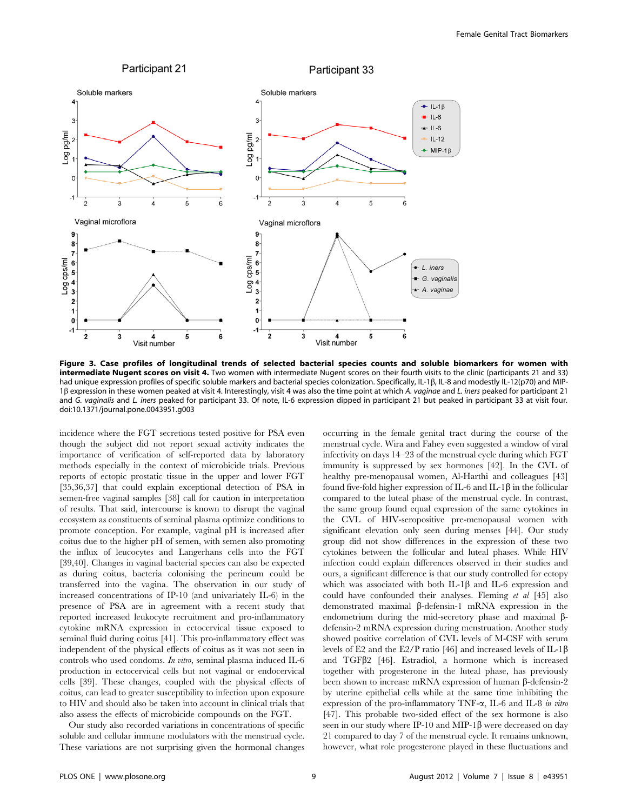

Figure 3. Case profiles of longitudinal trends of selected bacterial species counts and soluble biomarkers for women with intermediate Nugent scores on visit 4. Two women with intermediate Nugent scores on their fourth visits to the clinic (participants 21 and 33) had unique expression profiles of specific soluble markers and bacterial species colonization. Specifically, IL-1 $\beta$ , IL-8 and modestly IL-12(p70) and MIP-1ß expression in these women peaked at visit 4. Interestingly, visit 4 was also the time point at which A. vaginae and L. iners peaked for participant 21 and G. vaginalis and L. iners peaked for participant 33. Of note, IL-6 expression dipped in participant 21 but peaked in participant 33 at visit four. doi:10.1371/journal.pone.0043951.g003

incidence where the FGT secretions tested positive for PSA even though the subject did not report sexual activity indicates the importance of verification of self-reported data by laboratory methods especially in the context of microbicide trials. Previous reports of ectopic prostatic tissue in the upper and lower FGT [35,36,37] that could explain exceptional detection of PSA in semen-free vaginal samples [38] call for caution in interpretation of results. That said, intercourse is known to disrupt the vaginal ecosystem as constituents of seminal plasma optimize conditions to promote conception. For example, vaginal pH is increased after coitus due to the higher pH of semen, with semen also promoting the influx of leucocytes and Langerhans cells into the FGT [39,40]. Changes in vaginal bacterial species can also be expected as during coitus, bacteria colonising the perineum could be transferred into the vagina. The observation in our study of increased concentrations of IP-10 (and univariately IL-6) in the presence of PSA are in agreement with a recent study that reported increased leukocyte recruitment and pro-inflammatory cytokine mRNA expression in ectocervical tissue exposed to seminal fluid during coitus [41]. This pro-inflammatory effect was independent of the physical effects of coitus as it was not seen in controls who used condoms. In vitro, seminal plasma induced IL-6 production in ectocervical cells but not vaginal or endocervical cells [39]. These changes, coupled with the physical effects of coitus, can lead to greater susceptibility to infection upon exposure to HIV and should also be taken into account in clinical trials that also assess the effects of microbicide compounds on the FGT.

Our study also recorded variations in concentrations of specific soluble and cellular immune modulators with the menstrual cycle. These variations are not surprising given the hormonal changes occurring in the female genital tract during the course of the menstrual cycle. Wira and Fahey even suggested a window of viral infectivity on days 14–23 of the menstrual cycle during which FGT immunity is suppressed by sex hormones [42]. In the CVL of healthy pre-menopausal women, Al-Harthi and colleagues [43] found five-fold higher expression of IL-6 and IL-1 $\beta$  in the follicular compared to the luteal phase of the menstrual cycle. In contrast, the same group found equal expression of the same cytokines in the CVL of HIV-seropositive pre-menopausal women with significant elevation only seen during menses [44]. Our study group did not show differences in the expression of these two cytokines between the follicular and luteal phases. While HIV infection could explain differences observed in their studies and ours, a significant difference is that our study controlled for ectopy which was associated with both IL-1 $\beta$  and IL-6 expression and could have confounded their analyses. Fleming et al [45] also demonstrated maximal β-defensin-1 mRNA expression in the endometrium during the mid-secretory phase and maximal  $\beta$ defensin-2 mRNA expression during menstruation. Another study showed positive correlation of CVL levels of M-CSF with serum levels of E2 and the E2/P ratio [46] and increased levels of IL-1 $\beta$ and  $TGF\beta2$  [46]. Estradiol, a hormone which is increased together with progesterone in the luteal phase, has previously been shown to increase mRNA expression of human  $\beta$ -defensin-2 by uterine epithelial cells while at the same time inhibiting the expression of the pro-inflammatory TNF- $\alpha$ , IL-6 and IL-8 in vitro [47]. This probable two-sided effect of the sex hormone is also seen in our study where IP-10 and MIP-1 $\beta$  were decreased on day 21 compared to day 7 of the menstrual cycle. It remains unknown, however, what role progesterone played in these fluctuations and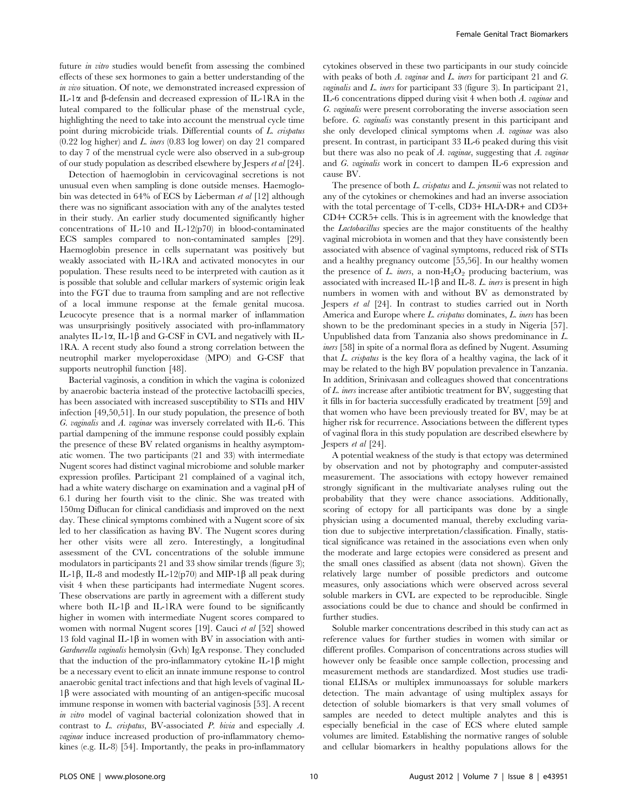future in vitro studies would benefit from assessing the combined effects of these sex hormones to gain a better understanding of the in vivo situation. Of note, we demonstrated increased expression of IL-1 $\alpha$  and  $\beta$ -defensin and decreased expression of IL-1RA in the luteal compared to the follicular phase of the menstrual cycle, highlighting the need to take into account the menstrual cycle time point during microbicide trials. Differential counts of L. crispatus  $(0.22 \log \text{higher})$  and L. iners  $(0.83 \log \text{ lower})$  on day 21 compared to day 7 of the menstrual cycle were also observed in a sub-group of our study population as described elsewhere by Jespers et al [24].

Detection of haemoglobin in cervicovaginal secretions is not unusual even when sampling is done outside menses. Haemoglobin was detected in 64% of ECS by Lieberman et al [12] although there was no significant association with any of the analytes tested in their study. An earlier study documented significantly higher concentrations of IL-10 and IL-12(p70) in blood-contaminated ECS samples compared to non-contaminated samples [29]. Haemoglobin presence in cells supernatant was positively but weakly associated with IL-1RA and activated monocytes in our population. These results need to be interpreted with caution as it is possible that soluble and cellular markers of systemic origin leak into the FGT due to trauma from sampling and are not reflective of a local immune response at the female genital mucosa. Leucocyte presence that is a normal marker of inflammation was unsurprisingly positively associated with pro-inflammatory analytes IL-1 $\alpha$ , IL-1 $\beta$  and G-CSF in CVL and negatively with IL-1RA. A recent study also found a strong correlation between the neutrophil marker myeloperoxidase (MPO) and G-CSF that supports neutrophil function [48].

Bacterial vaginosis, a condition in which the vagina is colonized by anaerobic bacteria instead of the protective lactobacilli species, has been associated with increased susceptibility to STIs and HIV infection [49,50,51]. In our study population, the presence of both G. vaginalis and A. vaginae was inversely correlated with IL-6. This partial dampening of the immune response could possibly explain the presence of these BV related organisms in healthy asymptomatic women. The two participants (21 and 33) with intermediate Nugent scores had distinct vaginal microbiome and soluble marker expression profiles. Participant 21 complained of a vaginal itch, had a white watery discharge on examination and a vaginal pH of 6.1 during her fourth visit to the clinic. She was treated with 150mg Diflucan for clinical candidiasis and improved on the next day. These clinical symptoms combined with a Nugent score of six led to her classification as having BV. The Nugent scores during her other visits were all zero. Interestingly, a longitudinal assessment of the CVL concentrations of the soluble immune modulators in participants 21 and 33 show similar trends (figure 3); IL-1 $\beta$ , IL-8 and modestly IL-12(p70) and MIP-1 $\beta$  all peak during visit 4 when these participants had intermediate Nugent scores. These observations are partly in agreement with a different study where both IL-1 $\beta$  and IL-1RA were found to be significantly higher in women with intermediate Nugent scores compared to women with normal Nugent scores [19]. Cauci et al [52] showed 13 fold vaginal IL-1 $\beta$  in women with BV in association with anti-Gardnerella vaginalis hemolysin (Gvh) IgA response. They concluded that the induction of the pro-inflammatory cytokine  $IL-1\beta$  might be a necessary event to elicit an innate immune response to control anaerobic genital tract infections and that high levels of vaginal IL- $1\beta$  were associated with mounting of an antigen-specific mucosal immune response in women with bacterial vaginosis [53]. A recent in vitro model of vaginal bacterial colonization showed that in contrast to L. crispatus, BV-associated P. bivia and especially A. vaginae induce increased production of pro-inflammatory chemokines (e.g. IL-8) [54]. Importantly, the peaks in pro-inflammatory

cytokines observed in these two participants in our study coincide with peaks of both A. vaginae and L. iners for participant 21 and  $G$ . *vaginalis* and  $L$ . *iners* for participant 33 (figure 3). In participant 21, IL-6 concentrations dipped during visit 4 when both A. vaginae and G. vaginalis were present corroborating the inverse association seen before. G. vaginalis was constantly present in this participant and she only developed clinical symptoms when A. vaginae was also present. In contrast, in participant 33 IL-6 peaked during this visit but there was also no peak of  $A$ . vaginae, suggesting that  $A$ . vaginae and G. vaginalis work in concert to dampen IL-6 expression and cause BV.

The presence of both L. crispatus and L. jensenii was not related to any of the cytokines or chemokines and had an inverse association with the total percentage of T-cells, CD3+ HLA-DR+ and CD3+ CD4+ CCR5+ cells. This is in agreement with the knowledge that the Lactobacillus species are the major constituents of the healthy vaginal microbiota in women and that they have consistently been associated with absence of vaginal symptoms, reduced risk of STIs and a healthy pregnancy outcome [55,56]. In our healthy women the presence of L. iners, a non- $H_2O_2$  producing bacterium, was associated with increased IL-1 $\beta$  and IL-8. L. iners is present in high numbers in women with and without BV as demonstrated by Jespers et al [24]. In contrast to studies carried out in North America and Europe where L. crispatus dominates, L. iners has been shown to be the predominant species in a study in Nigeria [57]. Unpublished data from Tanzania also shows predominance in L. iners [58] in spite of a normal flora as defined by Nugent. Assuming that  $L$ . crispatus is the key flora of a healthy vagina, the lack of it may be related to the high BV population prevalence in Tanzania. In addition, Srinivasan and colleagues showed that concentrations of L. iners increase after antibiotic treatment for BV, suggesting that it fills in for bacteria successfully eradicated by treatment [59] and that women who have been previously treated for BV, may be at higher risk for recurrence. Associations between the different types of vaginal flora in this study population are described elsewhere by Jespers *et al* [24].

A potential weakness of the study is that ectopy was determined by observation and not by photography and computer-assisted measurement. The associations with ectopy however remained strongly significant in the multivariate analyses ruling out the probability that they were chance associations. Additionally, scoring of ectopy for all participants was done by a single physician using a documented manual, thereby excluding variation due to subjective interpretation/classification. Finally, statistical significance was retained in the associations even when only the moderate and large ectopies were considered as present and the small ones classified as absent (data not shown). Given the relatively large number of possible predictors and outcome measures, only associations which were observed across several soluble markers in CVL are expected to be reproducible. Single associations could be due to chance and should be confirmed in further studies.

Soluble marker concentrations described in this study can act as reference values for further studies in women with similar or different profiles. Comparison of concentrations across studies will however only be feasible once sample collection, processing and measurement methods are standardized. Most studies use traditional ELISAs or multiplex immunoassays for soluble markers detection. The main advantage of using multiplex assays for detection of soluble biomarkers is that very small volumes of samples are needed to detect multiple analytes and this is especially beneficial in the case of ECS where eluted sample volumes are limited. Establishing the normative ranges of soluble and cellular biomarkers in healthy populations allows for the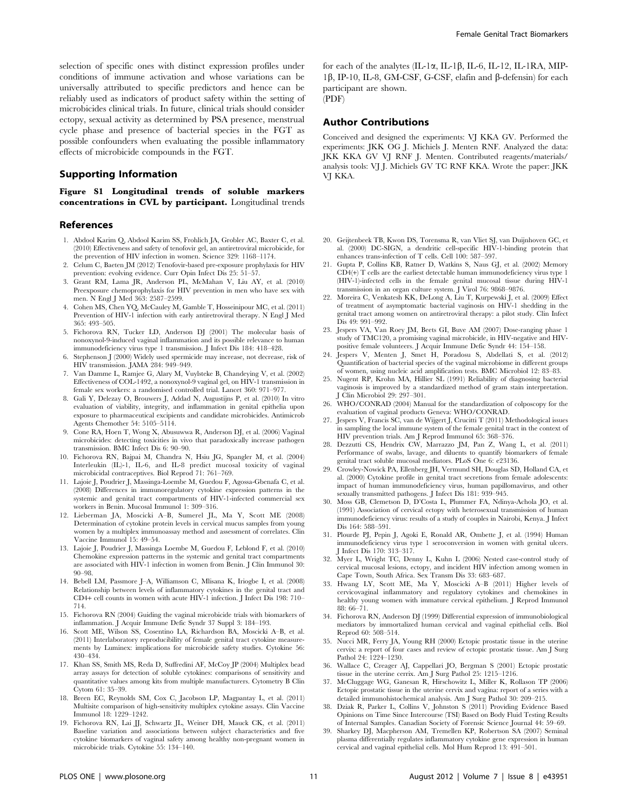selection of specific ones with distinct expression profiles under conditions of immune activation and whose variations can be universally attributed to specific predictors and hence can be reliably used as indicators of product safety within the setting of microbicides clinical trials. In future, clinical trials should consider ectopy, sexual activity as determined by PSA presence, menstrual cycle phase and presence of bacterial species in the FGT as possible confounders when evaluating the possible inflammatory effects of microbicide compounds in the FGT.

#### Supporting Information

Figure S1 Longitudinal trends of soluble markers concentrations in CVL by participant. Longitudinal trends

## References

- 1. Abdool Karim Q, Abdool Karim SS, Frohlich JA, Grobler AC, Baxter C, et al. (2010) Effectiveness and safety of tenofovir gel, an antiretroviral microbicide, for the prevention of HIV infection in women. Science 329: 1168–1174.
- 2. Celum C, Baeten JM (2012) Tenofovir-based pre-exposure prophylaxis for HIV prevention: evolving evidence. Curr Opin Infect Dis 25: 51–57.
- 3. Grant RM, Lama JR, Anderson PL, McMahan V, Liu AY, et al. (2010) Preexposure chemoprophylaxis for HIV prevention in men who have sex with men. N Engl J Med 363: 2587–2599.
- 4. Cohen MS, Chen YQ, McCauley M, Gamble T, Hosseinipour MC, et al. (2011) Prevention of HIV-1 infection with early antiretroviral therapy. N Engl J Med 365: 493–505.
- 5. Fichorova RN, Tucker LD, Anderson DJ (2001) The molecular basis of nonoxynol-9-induced vaginal inflammation and its possible relevance to human immunodeficiency virus type 1 transmission. J Infect Dis 184: 418–428.
- 6. Stephenson J (2000) Widely used spermicide may increase, not decrease, risk of HIV transmission. JAMA 284: 949–949.
- 7. Van Damme L, Ramjee G, Alary M, Vuylsteke B, Chandeying V, et al. (2002) Effectiveness of COL-1492, a nonoxynol-9 vaginal gel, on HIV-1 transmission in female sex workers: a randomised controlled trial. Lancet 360: 971–977.
- 8. Gali Y, Delezay O, Brouwers J, Addad N, Augustijns P, et al. (2010) In vitro evaluation of viability, integrity, and inflammation in genital epithelia upon exposure to pharmaceutical excipients and candidate microbicides. Antimicrob Agents Chemother 54: 5105–5114.
- 9. Cone RA, Hoen T, Wong X, Abusuwwa R, Anderson DJ, et al. (2006) Vaginal microbicides: detecting toxicities in vivo that paradoxically increase pathogen transmission. BMC Infect Dis 6: 90–90.
- 10. Fichorova RN, Bajpai M, Chandra N, Hsiu JG, Spangler M, et al. (2004) Interleukin (IL)-1, IL-6, and IL-8 predict mucosal toxicity of vaginal microbicidal contraceptives. Biol Reprod 71: 761–769.
- 11. Lajoie J, Poudrier J, Massinga-Loembe M, Guedou F, Agossa-Gbenafa C, et al. (2008) Differences in immunoregulatory cytokine expression patterns in the systemic and genital tract compartments of HIV-1-infected commercial sex workers in Benin. Mucosal Immunol 1: 309–316.
- 12. Lieberman JA, Moscicki A–B, Sumerel JL, Ma Y, Scott ME (2008) Determination of cytokine protein levels in cervical mucus samples from young women by a multiplex immunoassay method and assessment of correlates. Clin Vaccine Immunol 15: 49–54.
- 13. Lajoie J, Poudrier J, Massinga Loembe M, Guedou F, Leblond F, et al. (2010) Chemokine expression patterns in the systemic and genital tract compartments are associated with HIV-1 infection in women from Benin. J Clin Immunol 30: 90–98.
- 14. Bebell LM, Passmore J–A, Williamson C, Mlisana K, Iriogbe I, et al. (2008) Relationship between levels of inflammatory cytokines in the genital tract and CD4+ cell counts in women with acute HIV-1 infection. J Infect Dis 198: 710– 714.
- 15. Fichorova RN (2004) Guiding the vaginal microbicide trials with biomarkers of inflammation. J Acquir Immune Defic Syndr 37 Suppl 3: 184–193.
- 16. Scott ME, Wilson SS, Cosentino LA, Richardson BA, Moscicki A–B, et al. (2011) Interlaboratory reproducibility of female genital tract cytokine measurements by Luminex: implications for microbicide safety studies. Cytokine 56: 430–434.
- 17. Khan SS, Smith MS, Reda D, Suffredini AF, McCoy JP (2004) Multiplex bead array assays for detection of soluble cytokines: comparisons of sensitivity and quantitative values among kits from multiple manufacturers. Cytometry B Clin Cytom 61: 35–39.
- 18. Breen EC, Reynolds SM, Cox C, Jacobson LP, Magpantay L, et al. (2011) Multisite comparison of high-sensitivity multiplex cytokine assays. Clin Vaccine Immunol 18: 1229–1242.
- 19. Fichorova RN, Lai JJ, Schwartz JL, Weiner DH, Mauck CK, et al. (2011) Baseline variation and associations between subject characteristics and five cytokine biomarkers of vaginal safety among healthy non-pregnant women in microbicide trials. Cytokine 55: 134–140.

for each of the analytes  $(II - 1\alpha, II - 1\beta, IL - 6, II - 12, IL - 1RA, MIP-$ 1 $\beta$ , IP-10, IL-8, GM-CSF, G-CSF, elafin and  $\beta$ -defensin) for each participant are shown.

(PDF)

## Author Contributions

Conceived and designed the experiments: VJ KKA GV. Performed the experiments: JKK OG J. Michiels J. Menten RNF. Analyzed the data: JKK KKA GV VJ RNF J. Menten. Contributed reagents/materials/ analysis tools: VJ J. Michiels GV TC RNF KKA. Wrote the paper: JKK VJ KKA.

- 20. Geijtenbeek TB, Kwon DS, Torensma R, van Vliet SJ, van Duijnhoven GC, et al. (2000) DC-SIGN, a dendritic cell-specific HIV-1-binding protein that enhances trans-infection of T cells. Cell 100: 587–597.
- 21. Gupta P, Collins KB, Ratner D, Watkins S, Naus GJ, et al. (2002) Memory  $CD4(+)$  T cells are the earliest detectable human immunodeficiency virus type (HIV-1)-infected cells in the female genital mucosal tissue during HIV-1 transmission in an organ culture system. J Virol 76: 9868–9876.
- 22. Moreira C, Venkatesh KK, DeLong A, Liu T, Kurpewski J, et al. (2009) Effect of treatment of asymptomatic bacterial vaginosis on HIV-1 shedding in the genital tract among women on antiretroviral therapy: a pilot study. Clin Infect Dis 49: 991–992.
- 23. Jespers VA, Van Roey JM, Beets GI, Buve AM (2007) Dose-ranging phase 1 study of TMC120, a promising vaginal microbicide, in HIV-negative and HIVpositive female volunteers. J Acquir Immune Defic Syndr 44: 154–158.
- 24. Jespers V, Menten J, Smet H, Poradosu S, Abdellati S, et al. (2012) Quantification of bacterial species of the vaginal microbiome in different groups of women, using nucleic acid amplification tests. BMC Microbiol 12: 83–83.
- 25. Nugent RP, Krohn MA, Hillier SL (1991) Reliability of diagnosing bacterial vaginosis is improved by a standardized method of gram stain interpretation. Clin Microbiol 29: 297–301
- 26. WHO/CONRAD (2004) Manual for the standardization of colposcopy for the evaluation of vaginal products Geneva: WHO/CONRAD.
- 27. Jespers V, Francis SC, van de Wijgert J, Crucitti T (2011) Methodological issues in sampling the local immune system of the female genital tract in the context of HIV prevention trials. Am J Reprod Immunol 65: 368–376.
- 28. Dezzutti CS, Hendrix CW, Marrazzo JM, Pan Z, Wang L, et al. (2011) Performance of swabs, lavage, and diluents to quantify biomarkers of female
- genital tract soluble mucosal mediators. PLoS One 6: e23136. 29. Crowley-Nowick PA, Ellenberg JH, Vermund SH, Douglas SD, Holland CA, et al. (2000) Cytokine profile in genital tract secretions from female adolescents: impact of human immunodeficiency virus, human papillomavirus, and other sexually transmitted pathogens. J Infect Dis 181: 939–945.
- 30. Moss GB, Clemetson D, D'Costa L, Plummer FA, Ndinya-Achola JO, et al. (1991) Association of cervical ectopy with heterosexual transmission of human immunodeficiency virus: results of a study of couples in Nairobi, Kenya. J Infect Dis 164: 588–591.
- 31. Plourde PJ, Pepin J, Agoki E, Ronald AR, Ombette J, et al. (1994) Human immunodeficiency virus type 1 seroconversion in women with genital ulcers. J Infect Dis 170: 313–317.
- 32. Myer L, Wright TC, Denny L, Kuhn L (2006) Nested case-control study of cervical mucosal lesions, ectopy, and incident HIV infection among women in Cape Town, South Africa. Sex Transm Dis 33: 683–687.
- 33. Hwang LY, Scott ME, Ma Y, Moscicki A–B (2011) Higher levels of cervicovaginal inflammatory and regulatory cytokines and chemokines in healthy young women with immature cervical epithelium. J Reprod Immunol 88: 66–71.
- 34. Fichorova RN, Anderson DJ (1999) Differential expression of immunobiological mediators by immortalized human cervical and vaginal epithelial cells. Biol Reprod 60: 508–514.
- 35. Nucci MR, Ferry JA, Young RH (2000) Ectopic prostatic tissue in the uterine cervix: a report of four cases and review of ectopic prostatic tissue. Am J Surg Pathol 24: 1224–1230.
- 36. Wallace C, Creager AJ, Cappellari JO, Bergman S (2001) Ectopic prostatic tissue in the uterine cerrix. Am J Surg Pathol 25: 1215–1216.
- 37. McCluggage WG, Ganesan R, Hirschowitz L, Miller K, Rollason TP (2006) Ectopic prostatic tissue in the uterine cervix and vagina: report of a series with a detailed immunohistochemical analysis. Am J Surg Pathol 30: 209–215.
- 38. Dziak R, Parker L, Collins V, Johnston S (2011) Providing Evidence Based Opinions on Time Since Intercourse (TSI) Based on Body Fluid Testing Results of Internal Samples. Canadian Society of Forensic Science Journal 44: 59–69.
- 39. Sharkey DJ, Macpherson AM, Tremellen KP, Robertson SA (2007) Seminal plasma differentially regulates inflammatory cytokine gene expression in human cervical and vaginal epithelial cells. Mol Hum Reprod 13: 491–501.